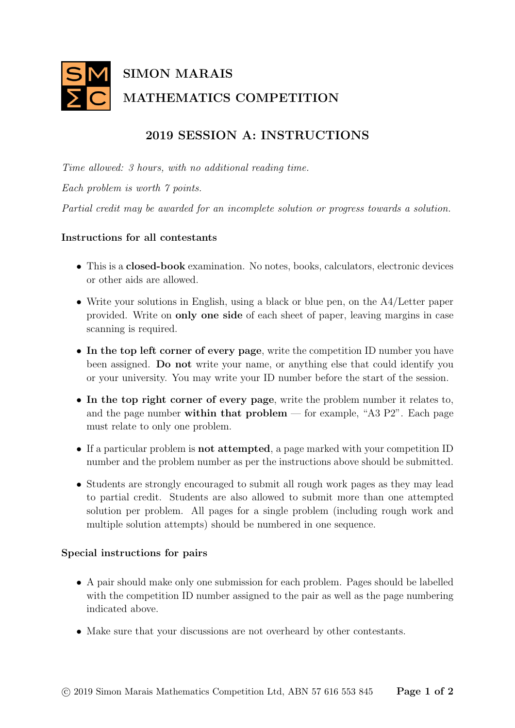

## 2019 SESSION A: INSTRUCTIONS

Time allowed: 3 hours, with no additional reading time. Each problem is worth 7 points. Partial credit may be awarded for an incomplete solution or progress towards a solution.

## Instructions for all contestants

- This is a closed-book examination. No notes, books, calculators, electronic devices or other aids are allowed.
- Write your solutions in English, using a black or blue pen, on the A4/Letter paper provided. Write on only one side of each sheet of paper, leaving margins in case scanning is required.
- In the top left corner of every page, write the competition ID number you have been assigned. Do not write your name, or anything else that could identify you or your university. You may write your ID number before the start of the session.
- In the top right corner of every page, write the problem number it relates to, and the page number within that  $problem$  — for example, "A3 P2". Each page must relate to only one problem.
- If a particular problem is not attempted, a page marked with your competition ID number and the problem number as per the instructions above should be submitted.
- Students are strongly encouraged to submit all rough work pages as they may lead to partial credit. Students are also allowed to submit more than one attempted solution per problem. All pages for a single problem (including rough work and multiple solution attempts) should be numbered in one sequence.

## Special instructions for pairs

- A pair should make only one submission for each problem. Pages should be labelled with the competition ID number assigned to the pair as well as the page numbering indicated above.
- Make sure that your discussions are not overheard by other contestants.